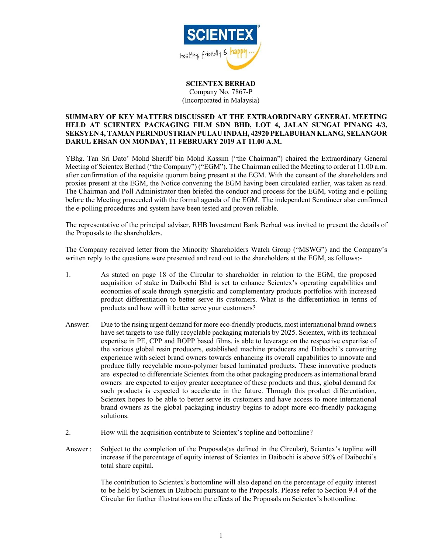

## SCIENTEX BERHAD Company No. 7867-P (Incorporated in Malaysia)

## SUMMARY OF KEY MATTERS DISCUSSED AT THE EXTRAORDINARY GENERAL MEETING HELD AT SCIENTEX PACKAGING FILM SDN BHD, LOT 4, JALAN SUNGAI PINANG 4/3, SEKSYEN 4, TAMAN PERINDUSTRIAN PULAU INDAH, 42920 PELABUHAN KLANG, SELANGOR DARUL EHSAN ON MONDAY, 11 FEBRUARY 2019 AT 11.00 A.M.

YBhg. Tan Sri Dato' Mohd Sheriff bin Mohd Kassim ("the Chairman") chaired the Extraordinary General Meeting of Scientex Berhad ("the Company") ("EGM"). The Chairman called the Meeting to order at 11.00 a.m. after confirmation of the requisite quorum being present at the EGM. With the consent of the shareholders and proxies present at the EGM, the Notice convening the EGM having been circulated earlier, was taken as read. The Chairman and Poll Administrator then briefed the conduct and process for the EGM, voting and e-polling before the Meeting proceeded with the formal agenda of the EGM. The independent Scrutineer also confirmed the e-polling procedures and system have been tested and proven reliable.

The representative of the principal adviser, RHB Investment Bank Berhad was invited to present the details of the Proposals to the shareholders.

The Company received letter from the Minority Shareholders Watch Group ("MSWG") and the Company's written reply to the questions were presented and read out to the shareholders at the EGM, as follows:-

- 1. As stated on page 18 of the Circular to shareholder in relation to the EGM, the proposed acquisition of stake in Daibochi Bhd is set to enhance Scientex's operating capabilities and economies of scale through synergistic and complementary products portfolios with increased product differentiation to better serve its customers. What is the differentiation in terms of products and how will it better serve your customers?
- Answer: Due to the rising urgent demand for more eco-friendly products, most international brand owners have set targets to use fully recyclable packaging materials by 2025. Scientex, with its technical expertise in PE, CPP and BOPP based films, is able to leverage on the respective expertise of the various global resin producers, established machine producers and Daibochi's converting experience with select brand owners towards enhancing its overall capabilities to innovate and produce fully recyclable mono-polymer based laminated products. These innovative products are expected to differentiate Scientex from the other packaging producers as international brand owners are expected to enjoy greater acceptance of these products and thus, global demand for such products is expected to accelerate in the future. Through this product differentiation, Scientex hopes to be able to better serve its customers and have access to more international brand owners as the global packaging industry begins to adopt more eco-friendly packaging solutions.
- 2. How will the acquisition contribute to Scientex's topline and bottomline?
- Answer : Subject to the completion of the Proposals(as defined in the Circular), Scientex's topline will increase if the percentage of equity interest of Scientex in Daibochi is above 50% of Daibochi's total share capital.

The contribution to Scientex's bottomline will also depend on the percentage of equity interest to be held by Scientex in Daibochi pursuant to the Proposals. Please refer to Section 9.4 of the Circular for further illustrations on the effects of the Proposals on Scientex's bottomline.